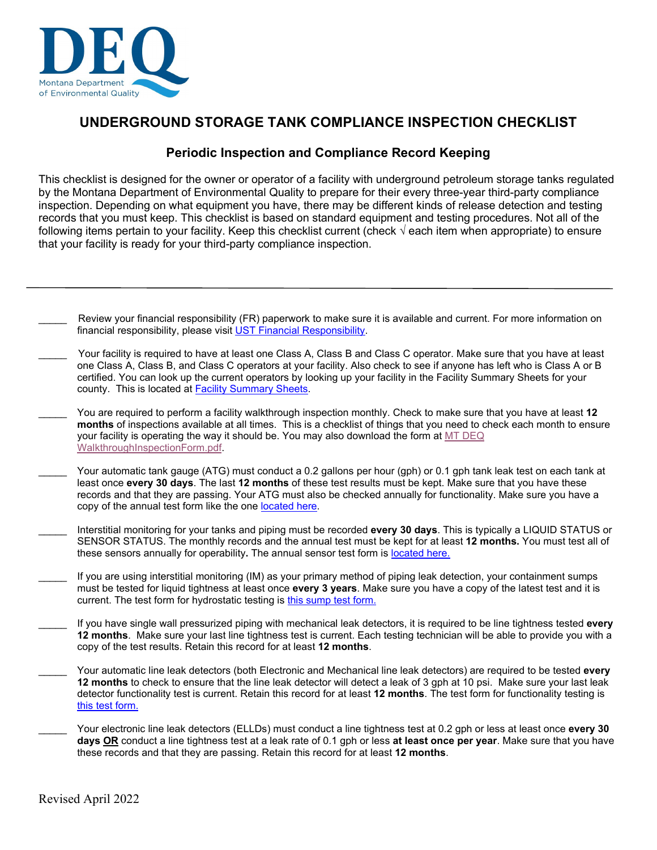

## **UNDERGROUND STORAGE TANK COMPLIANCE INSPECTION CHECKLIST**

## **Periodic Inspection and Compliance Record Keeping**

This checklist is designed for the owner or operator of a facility with underground petroleum storage tanks regulated by the Montana Department of Environmental Quality to prepare for their every three-year third-party compliance inspection. Depending on what equipment you have, there may be different kinds of release detection and testing records that you must keep. This checklist is based on standard equipment and testing procedures. Not all of the following items pertain to your facility. Keep this checklist current (check **√** each item when appropriate) to ensure that your facility is ready for your third-party compliance inspection.

- Review your financial responsibility (FR) paperwork to make sure it is available and current. For more information on financial responsibility, please visit [UST Financial Responsibility.](https://deq.mt.gov/twr/Programs/ust#accordion1-collapse4)
- Your facility is required to have at least one Class A, Class B and Class C operator. Make sure that you have at least one Class A, Class B, and Class C operators at your facility. Also check to see if anyone has left who is Class A or B certified. You can look up the current operators by looking up your facility in the Facility Summary Sheets for your county. This is located at [Facility Summary Sheets.](https://deq.mt.gov/twr/resources#accordion4-collapse5)
- \_\_\_\_\_ You are required to perform a facility walkthrough inspection monthly. Check to make sure that you have at least **12 months** of inspections available at all times. This is a checklist of things that you need to check each month to ensure your facility is operating the way it should be. You may also download the form a[t MT DEQ](http://deq.mt.gov/Portals/112/Land/UST/Documents/PDFfiles/WalkthroughInspectionForm.pdf)  [WalkthroughInspectionForm.pdf.](http://deq.mt.gov/Portals/112/Land/UST/Documents/PDFfiles/WalkthroughInspectionForm.pdf)
- Your automatic tank gauge (ATG) must conduct a 0.2 gallons per hour (gph) or 0.1 gph tank leak test on each tank at least once **every 30 days**. The last **12 months** of these test results must be kept. Make sure that you have these records and that they are passing. Your ATG must also be checked annually for functionality. Make sure you have a copy of the annual test form like the one [located here.](https://deq.mt.gov/files/Land/UST/Documents/PDFfiles/Montana_C-7_ATG.pdf)
- \_\_\_\_\_ Interstitial monitoring for your tanks and piping must be recorded **every 30 days**. This is typically a LIQUID STATUS or SENSOR STATUS. The monthly records and the annual test must be kept for at least **12 months.** You must test all of these sensors annually for operability**.** The annual sensor test form is [located here.](https://deq.mt.gov/files/Land/UST/Documents/PDFfiles/Montana_C-8_Liquid_Sensor.pdf)
- If you are using interstitial monitoring (IM) as your primary method of piping leak detection, your containment sumps must be tested for liquid tightness at least once **every 3 years**. Make sure you have a copy of the latest test and it is current. The test form for hydrostatic testing is [this sump test form.](https://deq.mt.gov/files/Land/UST/Documents/PDFfiles/Montana_C-4_Sump_Hydro.pdf)
- \_\_\_\_\_ If you have single wall pressurized piping with mechanical leak detectors, it is required to be line tightness tested **every 12 months**. Make sure your last line tightness test is current. Each testing technician will be able to provide you with a copy of the test results. Retain this record for at least **12 months**.
- \_\_\_\_\_ Your automatic line leak detectors (both Electronic and Mechanical line leak detectors) are required to be tested **every 12 months** to check to ensure that the line leak detector will detect a leak of 3 gph at 10 psi. Make sure your last leak detector functionality test is current. Retain this record for at least **12 months**. The test form for functionality testing is [this test form.](https://deq.mt.gov/files/Land/UST/Documents/PDFfiles/Montana_C-9_ALLD.pdf)
- Your electronic line leak detectors (ELLDs) must conduct a line tightness test at 0.2 gph or less at least once every 30 **days OR** conduct a line tightness test at a leak rate of 0.1 gph or less **at least once per year**. Make sure that you have these records and that they are passing. Retain this record for at least **12 months**.